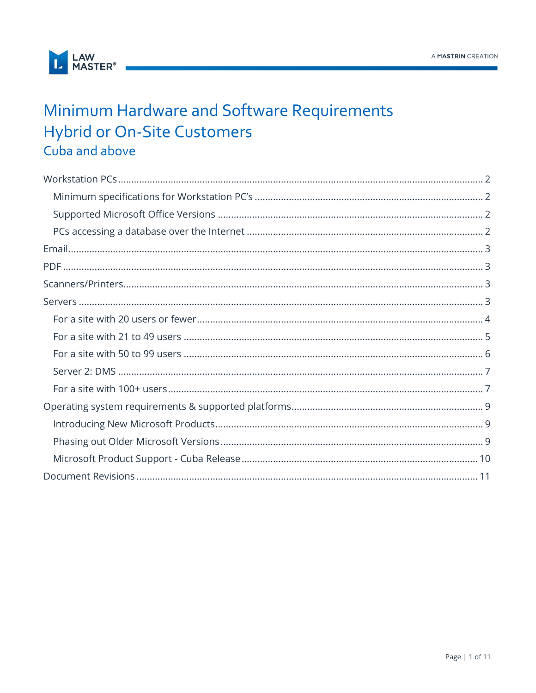

## Minimum Hardware and Software Requirements **Hybrid or On-Site Customers** Cuba and above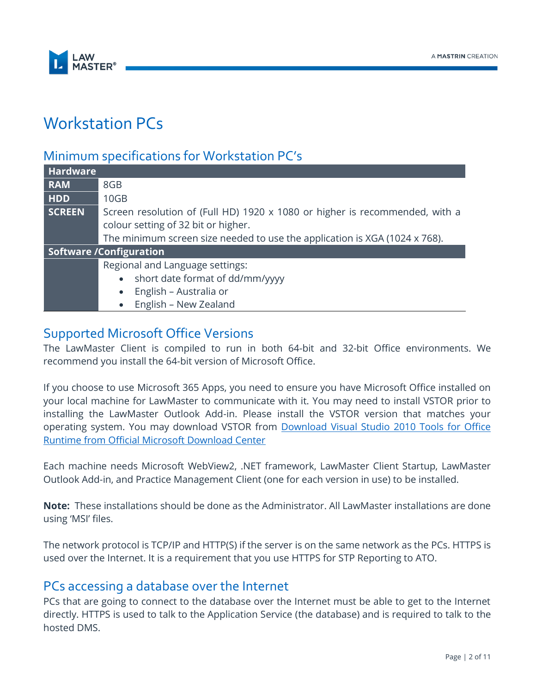

### <span id="page-1-0"></span>Workstation PCs

### <span id="page-1-1"></span>Minimum specifications for Workstation PC's

| <b>Hardware</b> |                                                                             |  |  |  |
|-----------------|-----------------------------------------------------------------------------|--|--|--|
| <b>RAM</b>      | 8GB                                                                         |  |  |  |
| <b>HDD</b>      | 10 <sub>GB</sub>                                                            |  |  |  |
| <b>SCREEN</b>   | Screen resolution of (Full HD) 1920 x 1080 or higher is recommended, with a |  |  |  |
|                 | colour setting of 32 bit or higher.                                         |  |  |  |
|                 | The minimum screen size needed to use the application is XGA (1024 x 768).  |  |  |  |
|                 | <b>Software /Configuration</b>                                              |  |  |  |
|                 | Regional and Language settings:                                             |  |  |  |
|                 | • short date format of dd/mm/yyyy                                           |  |  |  |
|                 | English - Australia or<br>$\bullet$                                         |  |  |  |
|                 | English - New Zealand<br>$\bullet$                                          |  |  |  |

#### <span id="page-1-2"></span>Supported Microsoft Office Versions

The LawMaster Client is compiled to run in both 64-bit and 32-bit Office environments. We recommend you install the 64-bit version of Microsoft Office.

If you choose to use Microsoft 365 Apps, you need to ensure you have Microsoft Office installed on your local machine for LawMaster to communicate with it. You may need to install VSTOR prior to installing the LawMaster Outlook Add-in. Please install the VSTOR version that matches your operating system. You may download VSTOR from **Download Visual Studio 2010 Tools for Office** [Runtime from Official Microsoft Download Center](https://www.microsoft.com/en-us/download/confirmation.aspx?id=56961)

Each machine needs Microsoft WebView2, .NET framework, LawMaster Client Startup, LawMaster Outlook Add-in, and Practice Management Client (one for each version in use) to be installed.

**Note:** These installations should be done as the Administrator. All LawMaster installations are done using 'MSI' files.

The network protocol is TCP/IP and HTTP(S) if the server is on the same network as the PCs. HTTPS is used over the Internet. It is a requirement that you use HTTPS for STP Reporting to ATO.

#### <span id="page-1-3"></span>PCs accessing a database over the Internet

PCs that are going to connect to the database over the Internet must be able to get to the Internet directly. HTTPS is used to talk to the Application Service (the database) and is required to talk to the hosted DMS.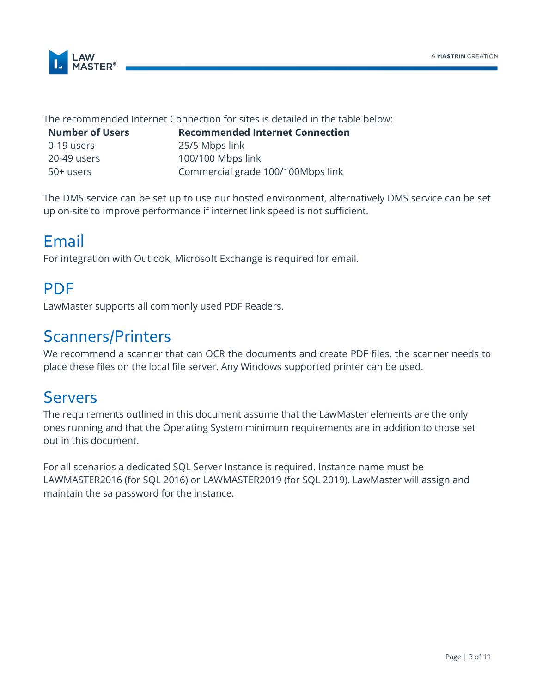

The recommended Internet Connection for sites is detailed in the table below:

| Number of U |
|-------------|
| 0-19 users  |
| 20-49 users |
| 50+ users   |

**Number of Secommended Internet Connection** 25/5 Mbps link 100/100 Mbps link Commercial grade 100/100Mbps link

The DMS service can be set up to use our hosted environment, alternatively DMS service can be set up on-site to improve performance if internet link speed is not sufficient.

# <span id="page-2-0"></span>Email

For integration with Outlook, Microsoft Exchange is required for email.

# <span id="page-2-1"></span>PDF

LawMaster supports all commonly used PDF Readers.

# <span id="page-2-2"></span>Scanners/Printers

We recommend a scanner that can OCR the documents and create PDF files, the scanner needs to place these files on the local file server. Any Windows supported printer can be used.

# <span id="page-2-3"></span>Servers

The requirements outlined in this document assume that the LawMaster elements are the only ones running and that the Operating System minimum requirements are in addition to those set out in this document.

For all scenarios a dedicated SQL Server Instance is required. Instance name must be LAWMASTER2016 (for SQL 2016) or LAWMASTER2019 (for SQL 2019). LawMaster will assign and maintain the sa password for the instance.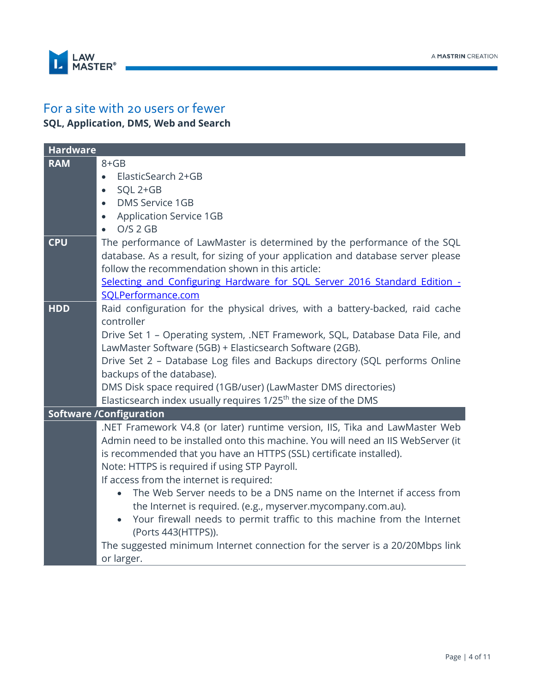

### <span id="page-3-0"></span>For a site with 20 users or fewer **SQL, Application, DMS, Web and Search**

| <b>Hardware</b> |                                                                                                                                                                                                                                                                                               |
|-----------------|-----------------------------------------------------------------------------------------------------------------------------------------------------------------------------------------------------------------------------------------------------------------------------------------------|
| <b>RAM</b>      | $8 + GB$                                                                                                                                                                                                                                                                                      |
|                 | ElasticSearch 2+GB<br>$\bullet$                                                                                                                                                                                                                                                               |
|                 | SQL 2+GB<br>$\bullet$                                                                                                                                                                                                                                                                         |
|                 | <b>DMS Service 1GB</b><br>$\bullet$                                                                                                                                                                                                                                                           |
|                 | <b>Application Service 1GB</b><br>$\bullet$                                                                                                                                                                                                                                                   |
|                 | $O/S$ 2 GB                                                                                                                                                                                                                                                                                    |
| <b>CPU</b>      | The performance of LawMaster is determined by the performance of the SQL<br>database. As a result, for sizing of your application and database server please<br>follow the recommendation shown in this article:<br>Selecting and Configuring Hardware for SQL Server 2016 Standard Edition - |
|                 | SQLPerformance.com                                                                                                                                                                                                                                                                            |
| <b>HDD</b>      | Raid configuration for the physical drives, with a battery-backed, raid cache<br>controller                                                                                                                                                                                                   |
|                 | Drive Set 1 - Operating system, .NET Framework, SQL, Database Data File, and<br>LawMaster Software (5GB) + Elasticsearch Software (2GB).                                                                                                                                                      |
|                 | Drive Set 2 - Database Log files and Backups directory (SQL performs Online                                                                                                                                                                                                                   |
|                 | backups of the database).                                                                                                                                                                                                                                                                     |
|                 | DMS Disk space required (1GB/user) (LawMaster DMS directories)                                                                                                                                                                                                                                |
|                 | Elasticsearch index usually requires 1/25 <sup>th</sup> the size of the DMS                                                                                                                                                                                                                   |
|                 | <b>Software /Configuration</b>                                                                                                                                                                                                                                                                |
|                 | .NET Framework V4.8 (or later) runtime version, IIS, Tika and LawMaster Web<br>Admin need to be installed onto this machine. You will need an IIS WebServer (it<br>is recommended that you have an HTTPS (SSL) certificate installed).<br>Note: HTTPS is required if using STP Payroll.       |
|                 | If access from the internet is required:                                                                                                                                                                                                                                                      |
|                 | The Web Server needs to be a DNS name on the Internet if access from<br>the Internet is required. (e.g., myserver.mycompany.com.au).                                                                                                                                                          |
|                 | Your firewall needs to permit traffic to this machine from the Internet<br>(Ports 443(HTTPS)).                                                                                                                                                                                                |
|                 | The suggested minimum Internet connection for the server is a 20/20Mbps link<br>or larger.                                                                                                                                                                                                    |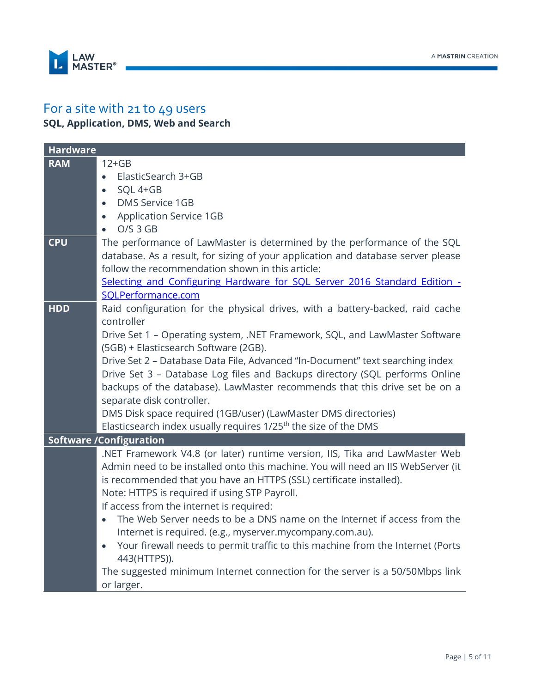

#### <span id="page-4-0"></span>For a site with 21 to 49 users **SQL, Application, DMS, Web and Search**

| <b>Hardware</b> |                                                                                                                                   |
|-----------------|-----------------------------------------------------------------------------------------------------------------------------------|
| <b>RAM</b>      | $12+GB$                                                                                                                           |
|                 | ElasticSearch 3+GB<br>$\bullet$                                                                                                   |
|                 | SQL 4+GB<br>$\bullet$                                                                                                             |
|                 | <b>DMS Service 1GB</b><br>$\bullet$                                                                                               |
|                 | <b>Application Service 1GB</b><br>$\bullet$                                                                                       |
|                 | $O/S$ 3 GB<br>$\bullet$                                                                                                           |
| <b>CPU</b>      | The performance of LawMaster is determined by the performance of the SQL                                                          |
|                 | database. As a result, for sizing of your application and database server please                                                  |
|                 | follow the recommendation shown in this article:                                                                                  |
|                 | Selecting and Configuring Hardware for SQL Server 2016 Standard Edition -                                                         |
|                 | SQLPerformance.com                                                                                                                |
| <b>HDD</b>      | Raid configuration for the physical drives, with a battery-backed, raid cache                                                     |
|                 | controller                                                                                                                        |
|                 | Drive Set 1 - Operating system, .NET Framework, SQL, and LawMaster Software                                                       |
|                 | (5GB) + Elasticsearch Software (2GB).                                                                                             |
|                 | Drive Set 2 - Database Data File, Advanced "In-Document" text searching index                                                     |
|                 | Drive Set 3 - Database Log files and Backups directory (SQL performs Online                                                       |
|                 | backups of the database). LawMaster recommends that this drive set be on a                                                        |
|                 | separate disk controller.                                                                                                         |
|                 | DMS Disk space required (1GB/user) (LawMaster DMS directories)                                                                    |
|                 | Elasticsearch index usually requires 1/25 <sup>th</sup> the size of the DMS                                                       |
|                 | <b>Software /Configuration</b>                                                                                                    |
|                 | .NET Framework V4.8 (or later) runtime version, IIS, Tika and LawMaster Web                                                       |
|                 | Admin need to be installed onto this machine. You will need an IIS WebServer (it                                                  |
|                 | is recommended that you have an HTTPS (SSL) certificate installed).                                                               |
|                 | Note: HTTPS is required if using STP Payroll.                                                                                     |
|                 | If access from the internet is required:<br>The Web Server needs to be a DNS name on the Internet if access from the<br>$\bullet$ |
|                 | Internet is required. (e.g., myserver.mycompany.com.au).                                                                          |
|                 | Your firewall needs to permit traffic to this machine from the Internet (Ports<br>$\bullet$                                       |
|                 | 443(HTTPS)).                                                                                                                      |
|                 | The suggested minimum Internet connection for the server is a 50/50Mbps link                                                      |
|                 | or larger.                                                                                                                        |
|                 |                                                                                                                                   |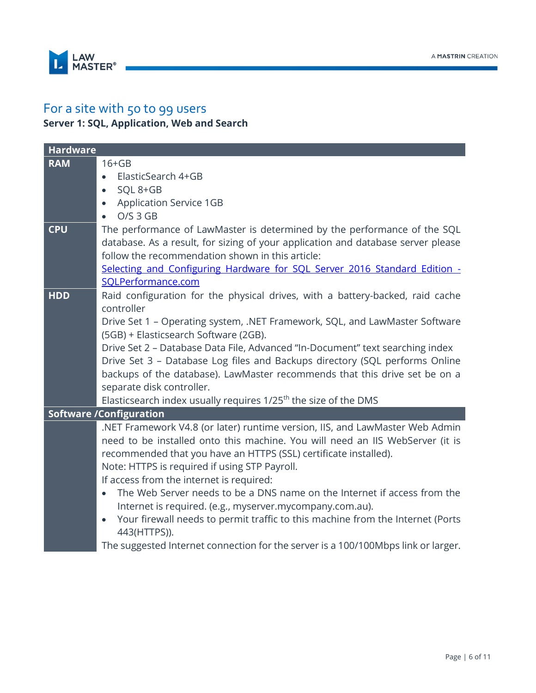

### <span id="page-5-0"></span>For a site with 50 to 99 users **Server 1: SQL, Application, Web and Search**

| <b>Hardware</b> |                                                                                                                                                                                                                                                                                                                                |
|-----------------|--------------------------------------------------------------------------------------------------------------------------------------------------------------------------------------------------------------------------------------------------------------------------------------------------------------------------------|
| <b>RAM</b>      | $16 + GB$<br>ElasticSearch 4+GB<br>$\bullet$<br>SQL 8+GB                                                                                                                                                                                                                                                                       |
|                 | $\bullet$<br><b>Application Service 1GB</b><br>$\bullet$                                                                                                                                                                                                                                                                       |
|                 | $O/S$ 3 $GB$                                                                                                                                                                                                                                                                                                                   |
| <b>CPU</b>      | The performance of LawMaster is determined by the performance of the SQL<br>database. As a result, for sizing of your application and database server please<br>follow the recommendation shown in this article:                                                                                                               |
|                 | Selecting and Configuring Hardware for SQL Server 2016 Standard Edition -<br>SQLPerformance.com                                                                                                                                                                                                                                |
| <b>HDD</b>      | Raid configuration for the physical drives, with a battery-backed, raid cache<br>controller                                                                                                                                                                                                                                    |
|                 | Drive Set 1 - Operating system, .NET Framework, SQL, and LawMaster Software<br>(5GB) + Elasticsearch Software (2GB).                                                                                                                                                                                                           |
|                 | Drive Set 2 - Database Data File, Advanced "In-Document" text searching index<br>Drive Set 3 - Database Log files and Backups directory (SQL performs Online                                                                                                                                                                   |
|                 | backups of the database). LawMaster recommends that this drive set be on a<br>separate disk controller.                                                                                                                                                                                                                        |
|                 | Elasticsearch index usually requires 1/25 <sup>th</sup> the size of the DMS                                                                                                                                                                                                                                                    |
|                 | <b>Software /Configuration</b>                                                                                                                                                                                                                                                                                                 |
|                 | .NET Framework V4.8 (or later) runtime version, IIS, and LawMaster Web Admin<br>need to be installed onto this machine. You will need an IIS WebServer (it is<br>recommended that you have an HTTPS (SSL) certificate installed).<br>Note: HTTPS is required if using STP Payroll.<br>If access from the internet is required: |
|                 | The Web Server needs to be a DNS name on the Internet if access from the<br>$\bullet$<br>Internet is required. (e.g., myserver.mycompany.com.au).                                                                                                                                                                              |
|                 | Your firewall needs to permit traffic to this machine from the Internet (Ports<br>$\bullet$<br>443(HTTPS)).                                                                                                                                                                                                                    |
|                 | The suggested Internet connection for the server is a 100/100Mbps link or larger.                                                                                                                                                                                                                                              |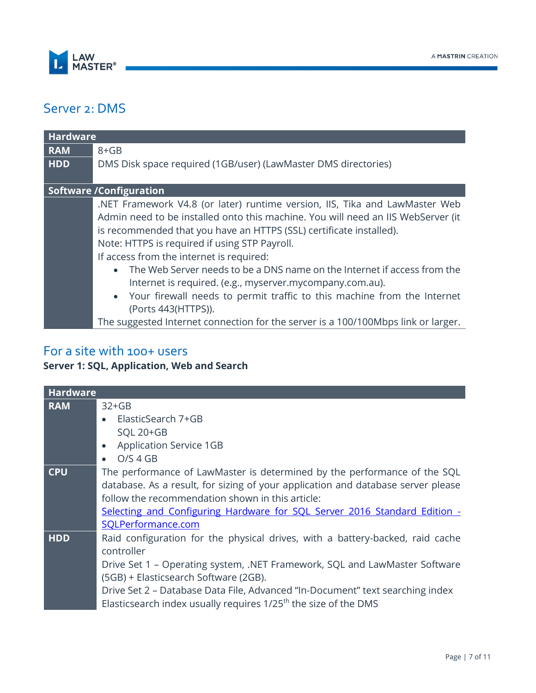

### <span id="page-6-0"></span>Server 2: DMS

| <b>Hardware</b> |                                                                                                                                                                                                                                                                                                                                                                                                                                                                                                                                                                                              |
|-----------------|----------------------------------------------------------------------------------------------------------------------------------------------------------------------------------------------------------------------------------------------------------------------------------------------------------------------------------------------------------------------------------------------------------------------------------------------------------------------------------------------------------------------------------------------------------------------------------------------|
| <b>RAM</b>      | $8 + GB$                                                                                                                                                                                                                                                                                                                                                                                                                                                                                                                                                                                     |
| <b>HDD</b>      | DMS Disk space required (1GB/user) (LawMaster DMS directories)                                                                                                                                                                                                                                                                                                                                                                                                                                                                                                                               |
|                 | <b>Software /Configuration</b>                                                                                                                                                                                                                                                                                                                                                                                                                                                                                                                                                               |
|                 | .NET Framework V4.8 (or later) runtime version, IIS, Tika and LawMaster Web<br>Admin need to be installed onto this machine. You will need an IIS WebServer (it<br>is recommended that you have an HTTPS (SSL) certificate installed).<br>Note: HTTPS is required if using STP Payroll.<br>If access from the internet is required:<br>The Web Server needs to be a DNS name on the Internet if access from the<br>$\bullet$<br>Internet is required. (e.g., myserver.mycompany.com.au).<br>• Your firewall needs to permit traffic to this machine from the Internet<br>(Ports 443(HTTPS)). |
|                 | The suggested Internet connection for the server is a 100/100Mbps link or larger.                                                                                                                                                                                                                                                                                                                                                                                                                                                                                                            |

### <span id="page-6-1"></span>For a site with 100+ users

### **Server 1: SQL, Application, Web and Search**

| <b>Hardware</b> |                                                                                                                                                                                                                                                                                                                                                                                    |
|-----------------|------------------------------------------------------------------------------------------------------------------------------------------------------------------------------------------------------------------------------------------------------------------------------------------------------------------------------------------------------------------------------------|
| <b>RAM</b>      | $32+GB$<br>ElasticSearch 7+GB<br>$\bullet$<br><b>SQL 20+GB</b><br><b>Application Service 1GB</b><br>$\bullet$<br>O/S 4 GB<br>$\bullet$                                                                                                                                                                                                                                             |
| <b>CPU</b>      | The performance of LawMaster is determined by the performance of the SQL<br>database. As a result, for sizing of your application and database server please<br>follow the recommendation shown in this article:<br>Selecting and Configuring Hardware for SQL Server 2016 Standard Edition -<br>SQLPerformance.com                                                                |
| <b>HDD</b>      | Raid configuration for the physical drives, with a battery-backed, raid cache<br>controller<br>Drive Set 1 - Operating system, .NET Framework, SQL and LawMaster Software<br>(5GB) + Elasticsearch Software (2GB).<br>Drive Set 2 - Database Data File, Advanced "In-Document" text searching index<br>Elasticsearch index usually requires 1/25 <sup>th</sup> the size of the DMS |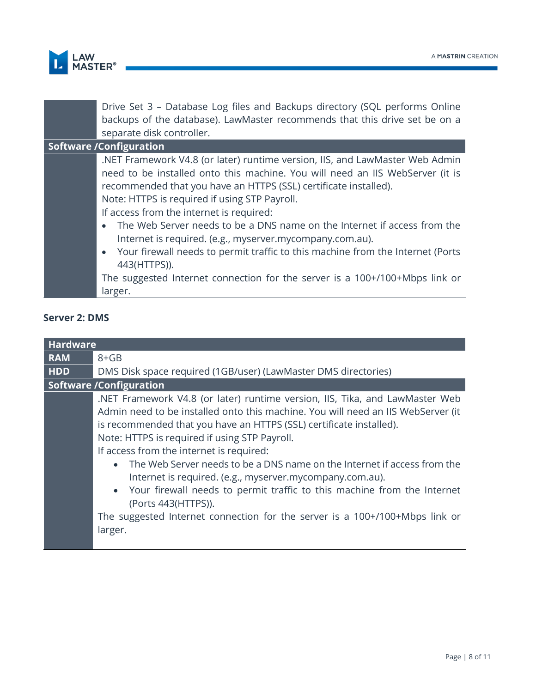

| Drive Set 3 – Database Log files and Backups directory (SQL performs Online<br>backups of the database). LawMaster recommends that this drive set be on a |
|-----------------------------------------------------------------------------------------------------------------------------------------------------------|
| separate disk controller.                                                                                                                                 |
| <b>Software /Configuration</b>                                                                                                                            |
| .NET Framework V4.8 (or later) runtime version, IIS, and LawMaster Web Admin                                                                              |
| need to be installed onto this machine. You will need an IIS WebServer (it is                                                                             |
| recommended that you have an HTTPS (SSL) certificate installed).                                                                                          |
| Note: HTTPS is required if using STP Payroll.                                                                                                             |
| If access from the internet is required:                                                                                                                  |
| The Web Server needs to be a DNS name on the Internet if access from the<br>$\bullet$                                                                     |
| Internet is required. (e.g., myserver.mycompany.com.au).                                                                                                  |
| Your firewall needs to permit traffic to this machine from the Internet (Ports<br>$\bullet$                                                               |
| 443(HTTPS)).                                                                                                                                              |
| The suggested Internet connection for the server is a 100+/100+Mbps link or                                                                               |
| larger.                                                                                                                                                   |

#### **Server 2: DMS**

| <b>Hardware</b> |                                                                                                                                                                                                                                                                                                                                                                                                                                                                                                                                                                                                                                                                            |  |  |
|-----------------|----------------------------------------------------------------------------------------------------------------------------------------------------------------------------------------------------------------------------------------------------------------------------------------------------------------------------------------------------------------------------------------------------------------------------------------------------------------------------------------------------------------------------------------------------------------------------------------------------------------------------------------------------------------------------|--|--|
| <b>RAM</b>      | $8 + GB$                                                                                                                                                                                                                                                                                                                                                                                                                                                                                                                                                                                                                                                                   |  |  |
| <b>HDD</b>      | DMS Disk space required (1GB/user) (LawMaster DMS directories)                                                                                                                                                                                                                                                                                                                                                                                                                                                                                                                                                                                                             |  |  |
|                 | <b>Software /Configuration</b>                                                                                                                                                                                                                                                                                                                                                                                                                                                                                                                                                                                                                                             |  |  |
|                 | .NET Framework V4.8 (or later) runtime version, IIS, Tika, and LawMaster Web<br>Admin need to be installed onto this machine. You will need an IIS WebServer (it<br>is recommended that you have an HTTPS (SSL) certificate installed).<br>Note: HTTPS is required if using STP Payroll.<br>If access from the internet is required:<br>The Web Server needs to be a DNS name on the Internet if access from the<br>Internet is required. (e.g., myserver.mycompany.com.au).<br>• Your firewall needs to permit traffic to this machine from the Internet<br>(Ports 443(HTTPS)).<br>The suggested Internet connection for the server is a 100+/100+Mbps link or<br>larger. |  |  |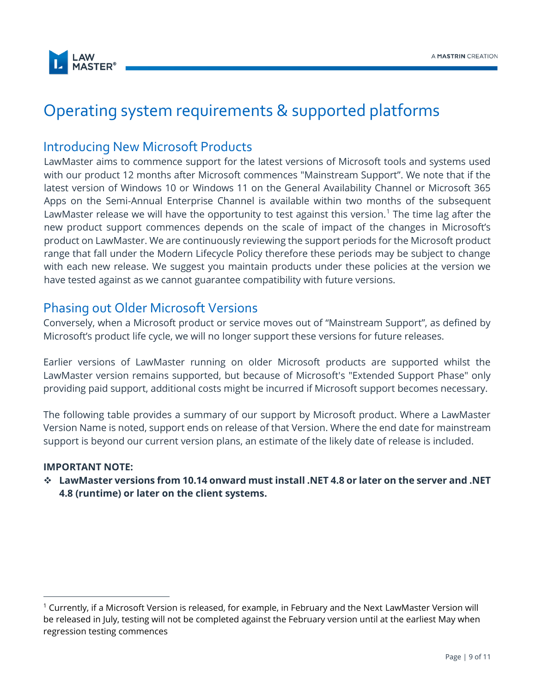

# <span id="page-8-0"></span>Operating system requirements & supported platforms

#### <span id="page-8-1"></span>Introducing New Microsoft Products

LawMaster aims to commence support for the latest versions of Microsoft tools and systems used with our product 12 months after Microsoft commences "Mainstream Support". We note that if the latest version of Windows 10 or Windows 11 on the General Availability Channel or Microsoft 365 Apps on the Semi-Annual Enterprise Channel is available within two months of the subsequent LawMaster release we will have the opportunity to test against this version.<sup>1</sup> The time lag after the new product support commences depends on the scale of impact of the changes in Microsoft's product on LawMaster. We are continuously reviewing the support periods for the Microsoft product range that fall under the Modern Lifecycle Policy therefore these periods may be subject to change with each new release. We suggest you maintain products under these policies at the version we have tested against as we cannot guarantee compatibility with future versions.

#### <span id="page-8-2"></span>Phasing out Older Microsoft Versions

Conversely, when a Microsoft product or service moves out of "Mainstream Support", as defined by Microsoft's product life cycle, we will no longer support these versions for future releases.

Earlier versions of LawMaster running on older Microsoft products are supported whilst the LawMaster version remains supported, but because of Microsoft's "Extended Support Phase" only providing paid support, additional costs might be incurred if Microsoft support becomes necessary.

The following table provides a summary of our support by Microsoft product. Where a LawMaster Version Name is noted, support ends on release of that Version. Where the end date for mainstream support is beyond our current version plans, an estimate of the likely date of release is included.

#### **IMPORTANT NOTE:**

❖ **LawMaster versions from 10.14 onward must install .NET 4.8 or later on the server and .NET 4.8 (runtime) or later on the client systems.**

 $1$  Currently, if a Microsoft Version is released, for example, in February and the Next LawMaster Version will be released in July, testing will not be completed against the February version until at the earliest May when regression testing commences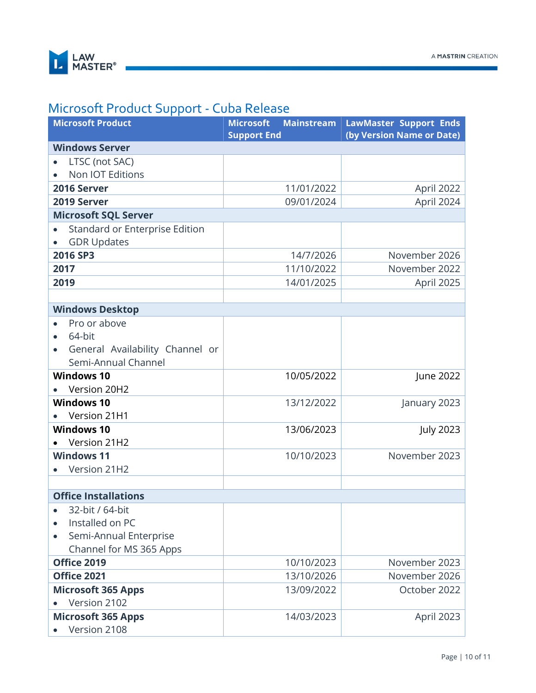

### <span id="page-9-0"></span>Microsoft Product Support - Cuba Release

| <b>Microsoft Product</b>        | <b>Mainstream</b><br><b>Microsoft</b><br><b>Support End</b> | <b>LawMaster Support Ends</b><br>(by Version Name or Date) |
|---------------------------------|-------------------------------------------------------------|------------------------------------------------------------|
| <b>Windows Server</b>           |                                                             |                                                            |
| LTSC (not SAC)                  |                                                             |                                                            |
| Non IOT Editions                |                                                             |                                                            |
| 2016 Server                     | 11/01/2022                                                  | April 2022                                                 |
| 2019 Server                     | 09/01/2024                                                  | April 2024                                                 |
| <b>Microsoft SQL Server</b>     |                                                             |                                                            |
| Standard or Enterprise Edition  |                                                             |                                                            |
| <b>GDR Updates</b>              |                                                             |                                                            |
| 2016 SP3                        | 14/7/2026                                                   | November 2026                                              |
| 2017                            | 11/10/2022                                                  | November 2022                                              |
| 2019                            | 14/01/2025                                                  | April 2025                                                 |
|                                 |                                                             |                                                            |
| <b>Windows Desktop</b>          |                                                             |                                                            |
| Pro or above                    |                                                             |                                                            |
| 64-bit<br>$\bullet$             |                                                             |                                                            |
| General Availability Channel or |                                                             |                                                            |
| Semi-Annual Channel             |                                                             |                                                            |
| <b>Windows 10</b>               | 10/05/2022                                                  | June 2022                                                  |
| Version 20H2                    |                                                             |                                                            |
| <b>Windows 10</b>               | 13/12/2022                                                  | January 2023                                               |
| Version 21H1                    |                                                             |                                                            |
| <b>Windows 10</b>               | 13/06/2023                                                  | <b>July 2023</b>                                           |
| Version 21H2                    |                                                             |                                                            |
| <b>Windows 11</b>               | 10/10/2023                                                  | November 2023                                              |
| Version 21H2                    |                                                             |                                                            |
|                                 |                                                             |                                                            |
| <b>Office Installations</b>     |                                                             |                                                            |
| 32-bit / 64-bit                 |                                                             |                                                            |
| Installed on PC                 |                                                             |                                                            |
| Semi-Annual Enterprise          |                                                             |                                                            |
| Channel for MS 365 Apps         |                                                             |                                                            |
| Office 2019                     | 10/10/2023                                                  | November 2023                                              |
| Office 2021                     | 13/10/2026                                                  | November 2026                                              |
| <b>Microsoft 365 Apps</b>       | 13/09/2022                                                  | October 2022                                               |
| Version 2102                    |                                                             |                                                            |
| <b>Microsoft 365 Apps</b>       | 14/03/2023                                                  | April 2023                                                 |
| Version 2108                    |                                                             |                                                            |